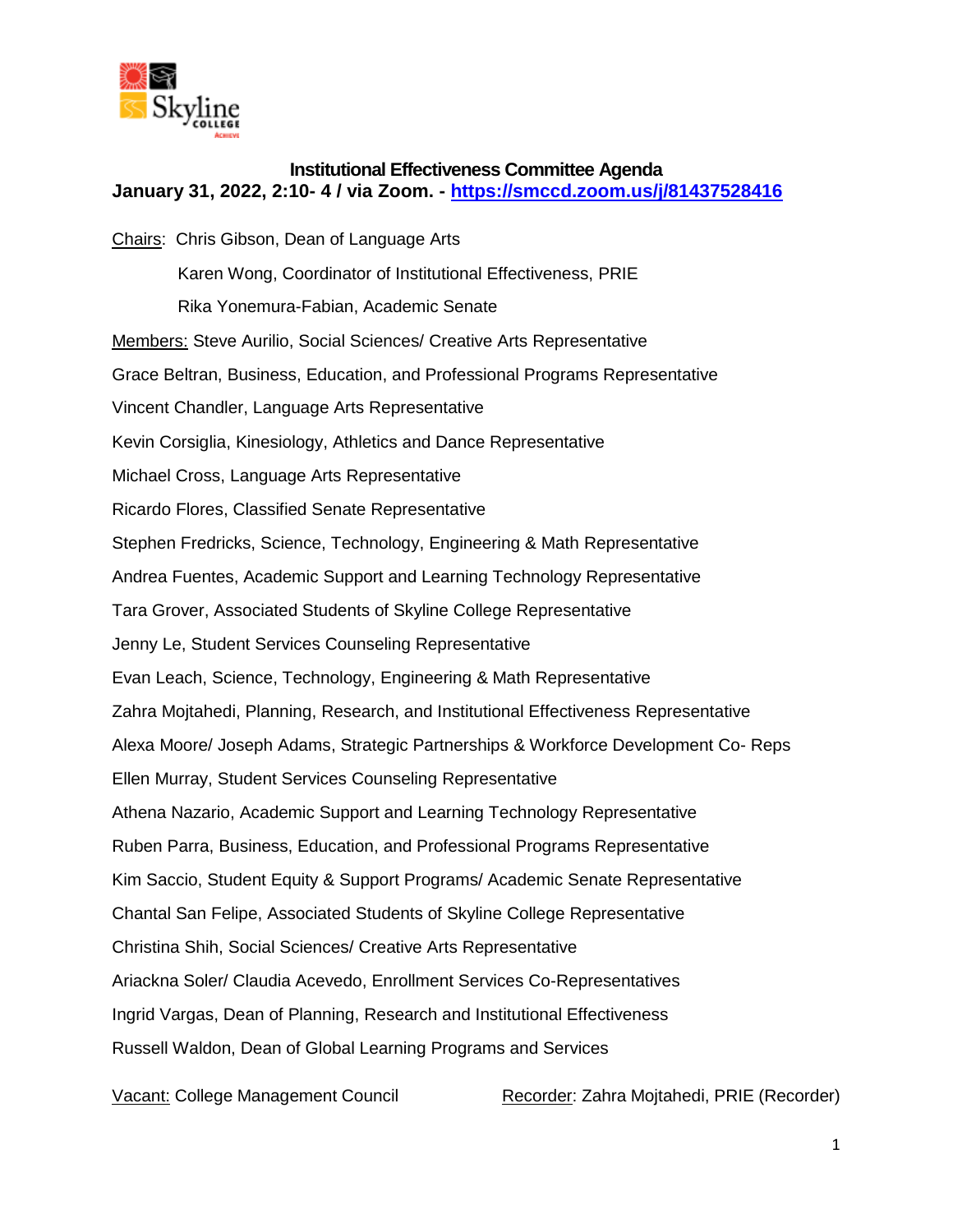

## **Institutional Effectiveness Committee Agenda January 31, 2022, 2:10- 4 / via Zoom. - <https://smccd.zoom.us/j/81437528416>**

Chairs: Chris Gibson, Dean of Language Arts Karen Wong, Coordinator of Institutional Effectiveness, PRIE Rika Yonemura-Fabian, Academic Senate Members: Steve Aurilio, Social Sciences/ Creative Arts Representative Grace Beltran, Business, Education, and Professional Programs Representative Vincent Chandler, Language Arts Representative Kevin Corsiglia, Kinesiology, Athletics and Dance Representative Michael Cross, Language Arts Representative Ricardo Flores, Classified Senate Representative Stephen Fredricks, Science, Technology, Engineering & Math Representative Andrea Fuentes, Academic Support and Learning Technology Representative Tara Grover, Associated Students of Skyline College Representative Jenny Le, Student Services Counseling Representative Evan Leach, Science, Technology, Engineering & Math Representative Zahra Mojtahedi, Planning, Research, and Institutional Effectiveness Representative Alexa Moore/ Joseph Adams, Strategic Partnerships & Workforce Development Co- Reps Ellen Murray, Student Services Counseling Representative Athena Nazario, Academic Support and Learning Technology Representative Ruben Parra, Business, Education, and Professional Programs Representative Kim Saccio, Student Equity & Support Programs/ Academic Senate Representative Chantal San Felipe, Associated Students of Skyline College Representative Christina Shih, Social Sciences/ Creative Arts Representative Ariackna Soler/ Claudia Acevedo, Enrollment Services Co-Representatives Ingrid Vargas, Dean of Planning, Research and Institutional Effectiveness Russell Waldon, Dean of Global Learning Programs and Services

Vacant: College Management Council Recorder: Zahra Mojtahedi, PRIE (Recorder)